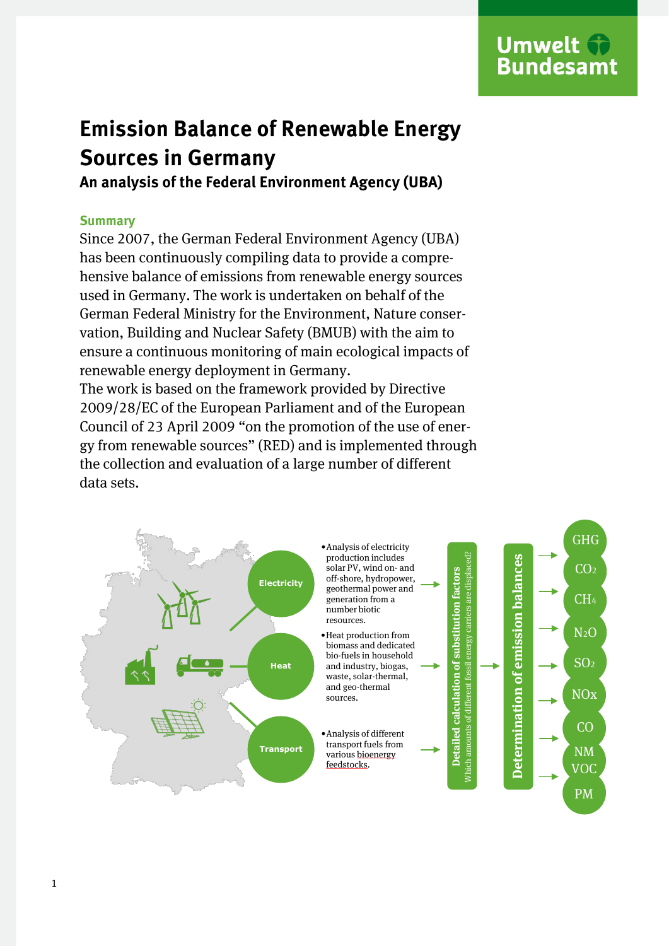# **Umwelt Bundesamt**

# **Emission Balance of Renewable Energy Sources in Germany**

**An analysis of the Federal Environment Agency (UBA)**

# **Summary**

Since 2007, the German Federal Environment Agency (UBA) has been continuously compiling data to provide a comprehensive balance of emissions from renewable energy sources used in Germany. The work is undertaken on behalf of the German Federal Ministry for the Environment, Nature conservation, Building and Nuclear Safety (BMUB) with the aim to ensure a continuous monitoring of main ecological impacts of renewable energy deployment in Germany.

The work is based on the framework provided by Directive 2009/28/EC of the European Parliament and of the European Council of 23 April 2009 "on the promotion of the use of energy from renewable sources" (RED) and is implemented through the collection and evaluation of a large number of different data sets.

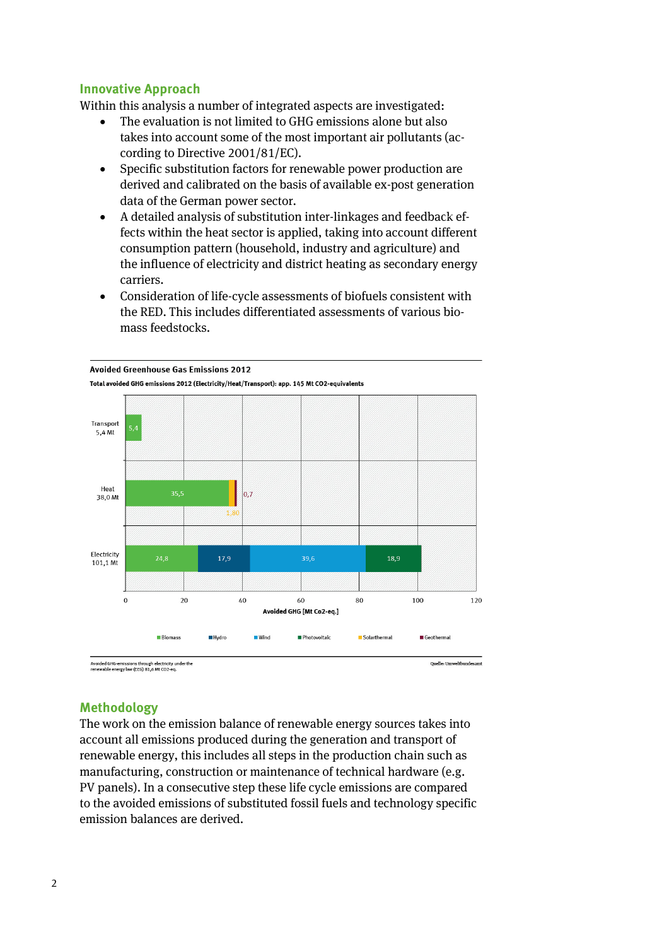## **Innovative Approach**

Within this analysis a number of integrated aspects are investigated:

- The evaluation is not limited to GHG emissions alone but also takes into account some of the most important air pollutants (according to Directive 2001/81/EC).
- Specific substitution factors for renewable power production are derived and calibrated on the basis of available ex-post generation data of the German power sector.
- A detailed analysis of substitution inter-linkages and feedback effects within the heat sector is applied, taking into account different consumption pattern (household, industry and agriculture) and the influence of electricity and district heating as secondary energy carriers.
- Consideration of life-cycle assessments of biofuels consistent with the RED. This includes differentiated assessments of various biomass feedstocks.



Avoided GHG-emissions through electricity under the<br>renewable energy law (EEG) 81,6 Mt CO2-eq.

### **Methodology**

The work on the emission balance of renewable energy sources takes into account all emissions produced during the generation and transport of renewable energy, this includes all steps in the production chain such as manufacturing, construction or maintenance of technical hardware (e.g. PV panels). In a consecutive step these life cycle emissions are compared to the avoided emissions of substituted fossil fuels and technology specific emission balances are derived.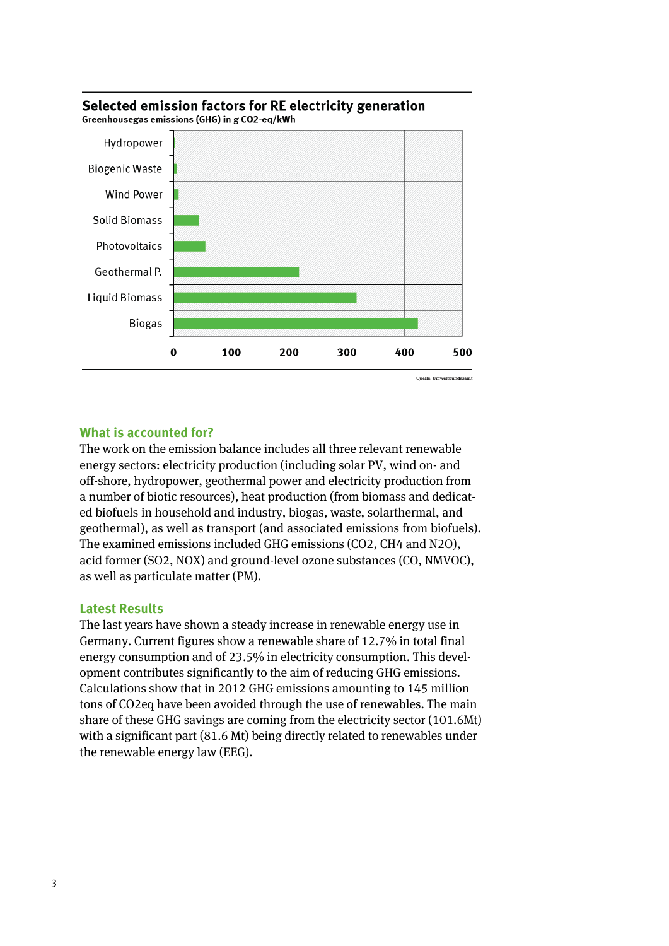

#### Selected emission factors for RE electricity generation Greenhousegas emissions (GHG) in g CO2-eq/kWh

# **What is accounted for?**

The work on the emission balance includes all three relevant renewable energy sectors: electricity production (including solar PV, wind on- and off-shore, hydropower, geothermal power and electricity production from a number of biotic resources), heat production (from biomass and dedicated biofuels in household and industry, biogas, waste, solarthermal, and geothermal), as well as transport (and associated emissions from biofuels). The examined emissions included GHG emissions (CO2, CH4 and N2O), acid former (SO2, NOX) and ground-level ozone substances (CO, NMVOC), as well as particulate matter (PM).

### **Latest Results**

The last years have shown a steady increase in renewable energy use in Germany. Current figures show a renewable share of 12.7% in total final energy consumption and of 23.5% in electricity consumption. This development contributes significantly to the aim of reducing GHG emissions. Calculations show that in 2012 GHG emissions amounting to 145 million tons of CO2eq have been avoided through the use of renewables. The main share of these GHG savings are coming from the electricity sector (101.6Mt) with a significant part (81.6 Mt) being directly related to renewables under the renewable energy law (EEG).